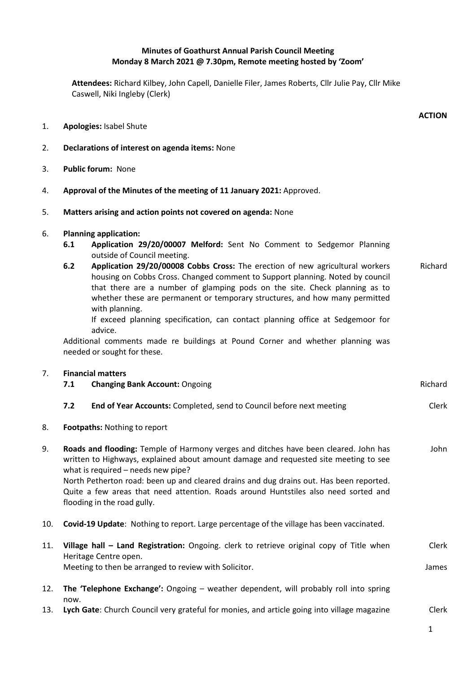# **Minutes of Goathurst Annual Parish Council Meeting Monday 8 March 2021 @ 7.30pm, Remote meeting hosted by 'Zoom'**

**Attendees:** Richard Kilbey, John Capell, Danielle Filer, James Roberts, Cllr Julie Pay, Cllr Mike Caswell, Niki Ingleby (Clerk)

- 1. **Apologies:** Isabel Shute
- 2. **Declarations of interest on agenda items:** None
- 3. **Public forum:** None
- 4. **Approval of the Minutes of the meeting of 11 January 2021:** Approved.
- 5. **Matters arising and action points not covered on agenda:** None

### 6. **Planning application:**

- **6.1 Application 29/20/00007 Melford:** Sent No Comment to Sedgemor Planning outside of Council meeting.
- **6.2 Application 29/20/00008 Cobbs Cross:** The erection of new agricultural workers housing on Cobbs Cross. Changed comment to Support planning. Noted by council that there are a number of glamping pods on the site. Check planning as to whether these are permanent or temporary structures, and how many permitted with planning. Richard

If exceed planning specification, can contact planning office at Sedgemoor for advice.

Additional comments made re buildings at Pound Corner and whether planning was needed or sought for these.

### 7. **Financial matters**

|    | 7.1                                                                                                                                                                                                                                                                                                                                                                                                                                 | <b>Changing Bank Account: Ongoing</b>                                | <b>Richard</b> |
|----|-------------------------------------------------------------------------------------------------------------------------------------------------------------------------------------------------------------------------------------------------------------------------------------------------------------------------------------------------------------------------------------------------------------------------------------|----------------------------------------------------------------------|----------------|
|    | 7.2                                                                                                                                                                                                                                                                                                                                                                                                                                 | End of Year Accounts: Completed, send to Council before next meeting | Clerk          |
| 8. | <b>Footpaths:</b> Nothing to report                                                                                                                                                                                                                                                                                                                                                                                                 |                                                                      |                |
| 9. | Roads and flooding: Temple of Harmony verges and ditches have been cleared. John has<br>written to Highways, explained about amount damage and requested site meeting to see<br>what is required – needs new pipe?<br>North Petherton road: been up and cleared drains and dug drains out. Has been reported.<br>Quite a few areas that need attention. Roads around Huntstiles also need sorted and<br>flooding in the road gully. |                                                                      | John           |

- 10. **Covid-19 Update**: Nothing to report. Large percentage of the village has been vaccinated.
- 11. **Village hall – Land Registration:** Ongoing. clerk to retrieve original copy of Title when Heritage Centre open. Meeting to then be arranged to review with Solicitor. Clerk James
- 12. **The 'Telephone Exchange':** Ongoing weather dependent, will probably roll into spring now.
- 13. **Lych Gate**: Church Council very grateful for monies, and article going into village magazine Clerk

**ACTION**